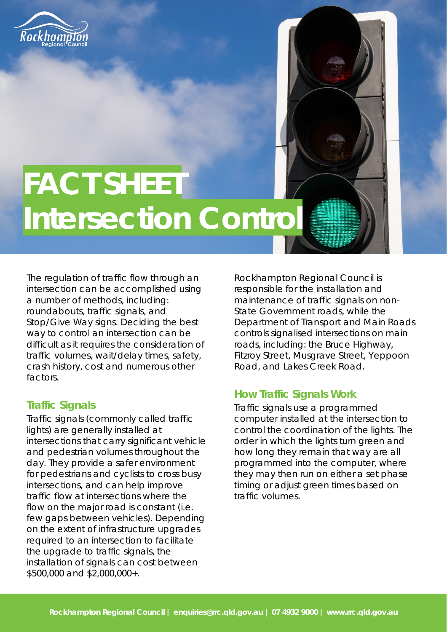

# **FACT SHEET Intersection Control**

The regulation of traffic flow through an intersection can be accomplished using a number of methods, including: roundabouts, traffic signals, and Stop/Give Way signs. Deciding the best way to control an intersection can be difficult as it requires the consideration of traffic volumes, wait/delay times, safety, crash history, cost and numerous other factors.

### **Traffic Signals**

 flow on the major road is constant (i.e. Traffic signals (commonly called traffic lights) are generally installed at intersections that carry significant vehicle and pedestrian volumes throughout the day. They provide a safer environment for pedestrians and cyclists to cross busy intersections, and can help improve traffic flow at intersections where the few gaps between vehicles). Depending on the extent of infrastructure upgrades required to an intersection to facilitate the upgrade to traffic signals, the installation of signals can cost between \$500,000 and \$2,000,000+.

Rockhampton Regional Council is responsible for the installation and maintenance of traffic signals on non-State Government roads, while the Department of Transport and Main Roads controls signalised intersections on main roads, including: the Bruce Highway, Fitzroy Street, Musgrave Street, Yeppoon Road, and Lakes Creek Road.

### **How Traffic Signals Work**

 how long they remain that way are all Traffic signals use a programmed computer installed at the intersection to control the coordination of the lights. The order in which the lights turn green and programmed into the computer, where they may then run on either a set phase timing or adjust green times based on traffic volumes.